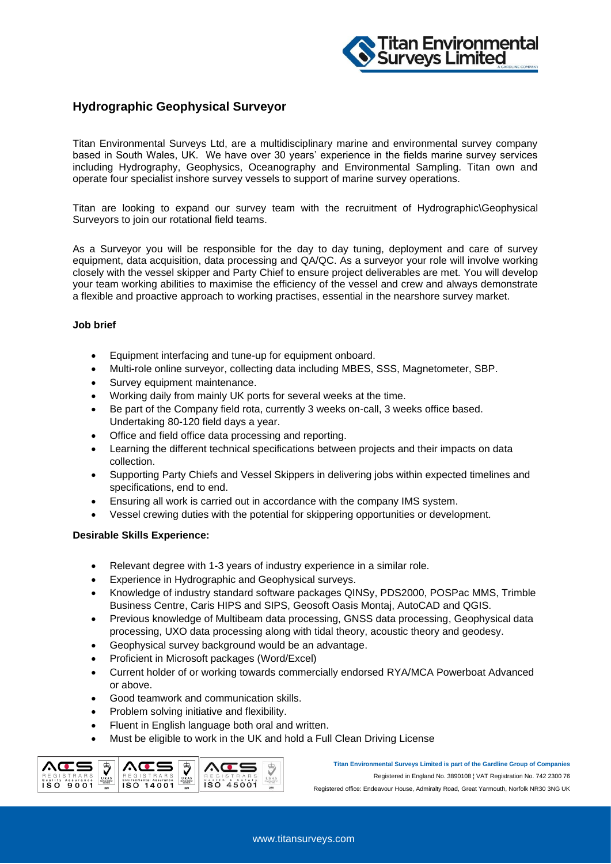

## **Hydrographic Geophysical Surveyor**

Titan Environmental Surveys Ltd, are a multidisciplinary marine and environmental survey company based in South Wales, UK. We have over 30 years' experience in the fields marine survey services including Hydrography, Geophysics, Oceanography and Environmental Sampling. Titan own and operate four specialist inshore survey vessels to support of marine survey operations.

Titan are looking to expand our survey team with the recruitment of Hydrographic\Geophysical Surveyors to join our rotational field teams.

As a Surveyor you will be responsible for the day to day tuning, deployment and care of survey equipment, data acquisition, data processing and QA/QC. As a surveyor your role will involve working closely with the vessel skipper and Party Chief to ensure project deliverables are met. You will develop your team working abilities to maximise the efficiency of the vessel and crew and always demonstrate a flexible and proactive approach to working practises, essential in the nearshore survey market.

## **Job brief**

- Equipment interfacing and tune-up for equipment onboard.
- Multi-role online surveyor, collecting data including MBES, SSS, Magnetometer, SBP.
- Survey equipment maintenance.
- Working daily from mainly UK ports for several weeks at the time.
- Be part of the Company field rota, currently 3 weeks on-call, 3 weeks office based. Undertaking 80-120 field days a year.
- Office and field office data processing and reporting.
- Learning the different technical specifications between projects and their impacts on data collection.
- Supporting Party Chiefs and Vessel Skippers in delivering jobs within expected timelines and specifications, end to end.
- Ensuring all work is carried out in accordance with the company IMS system.
- Vessel crewing duties with the potential for skippering opportunities or development.

## **Desirable Skills Experience:**

- Relevant degree with 1-3 years of industry experience in a similar role.
- Experience in Hydrographic and Geophysical surveys.
- Knowledge of industry standard software packages QINSy, PDS2000, POSPac MMS, Trimble Business Centre, Caris HIPS and SIPS, Geosoft Oasis Montaj, AutoCAD and QGIS.
- Previous knowledge of Multibeam data processing, GNSS data processing, Geophysical data processing, UXO data processing along with tidal theory, acoustic theory and geodesy.
- Geophysical survey background would be an advantage.
- Proficient in Microsoft packages (Word/Excel)
- Current holder of or working towards commercially endorsed RYA/MCA Powerboat Advanced or above.
- Good teamwork and communication skills.
- Problem solving initiative and flexibility.
- Fluent in English language both oral and written.
- Must be eligible to work in the UK and hold a Full Clean Driving License



**Titan Environmental Surveys Limited is part of the Gardline Group of Companies** Registered in England No. 3890108 ¦ VAT Registration No. 742 2300 76 Registered office: Endeavour House, Admiralty Road, Great Yarmouth, Norfolk NR30 3NG UK